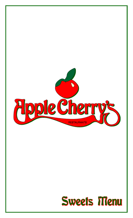

## Sweets Menu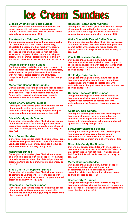## Ice Cream Sundaes

#### **Classic Original Hot Fudge Sundae**

**Our one giant scoop of our homemade vanilla ice cream topped with hot fudge, whipped cream, crushed peanuts and a cherry on top, served in our original size sundae glass. 2.95**

#### **The American Rainbow™ Sundae**

**Our giant sundae glass filled with one scoop each of our homemade ice cream flavors; strawberry, chocolate, blueberry sherbet, raspberry sherbet, rocky road, vanilla, cookies and cream, orange sherbet and lime sherbet, topped with hot fudge, strawberry compote, blueberry compote, whipped cream, salted caramel, colored sprinkles, gummy worms and five cherries on top, meant to share! 6.25**

#### **Original Banana Split Sundae**

**Our long sundae bowl filled with one scoop each of our homemade ice cream flavors; vanilla, strawberry and chocolate, topped in between sliced bananas with hot fudge, salted caramel and strawberry compote, whipped cream and three cherries on top. 3.25**

#### **Monstrous Banana Split Sundae**

**Our giant sundae glass filled with two scoops each of our homemade ice cream flavors; vanilla, strawberry and chocolate, topped with sliced bananas, hot fudge, salted caramel and strawberry compote, whipped cream and six cherries on top. 6.25**

#### **Apple Cherry Caramel Sundae**

**Our original size sundae glass filled with two scoops of homemade vanilla ice cream, topped with cinnamon baked apples, cherry compote, whipped cream, salted caramel and a cherry on top. 4.25**

#### **Sliced Candy Apple Sundae**

**Our original size sundae glass filled with two scoops of homemade vanilla ice cream, topped with sliced caramelized candy apples, whipped cream, chopped cinnamon crumble, gummy worms and a cherry on top. 4.25**

#### **Black Forest Sundae**

**Our original size sundae glass filled with chewy fudge cake brownie topped with two scoops of homemade vanilla ice cream, black cherry compote, hot fudge, whipped cream and a cherry on top. 4.75**

#### **Halloween Sundae**

**Our original size sundae glass filled with our sweet pumpkin cake topped with two scoops of homemade pumpkin ice cream, white chocolate fudge, whipped cream, M&M's® candy, gummy worms and cherry on top. 3.75**

#### **Black Cherry Dr. Pepper® Sundae**

**Our original size sundae glass filled with two scoops of homemade Dr. Pepper® ice cream, topped with gummy soda bottles, black cherry compote, whipped cream and a cherry on top. 3.95**

#### **Homemade Root Beer Sundae**

**Our original size sundae glass filled with two scoops of homemade root beer ice cream, topped with gummy soda bottles, hot fudge, whipped cream and a cherry on top. 3.95**

#### **Reese's® Peanut Butter Sundae**

**Our original size sundae glass filled with two scoops of homemade peanut butter ice cream topped with peanut butter, hot fudge, Reese's® peanut butter cups, whipped cream and a cherry on top. 3.25**

#### **White Chocolate Peanut Butter Sundae**

**Our original size sundae glass filled with two scoops of homemade white chocolate ice cream topped with peanut butter, white chocolate fudge, Reese's® peanut butter cups, whipped cream and a cherry on top. 3.25**

#### **Vanilla Cheescake Sundae**

**Our giant sundae glass filled with two scoops of homemade vanilla cheesecake ice cream topped on sliced vanilla cheesecake with graham cracker crust with strawberry compote, whipped cream and two cherries on top. 6.95**

#### **Hot Fudge Cake Sundae**

**Our giant sundae glass filled with two scoops of homemade vanilla ice cream topped on our three layered chocolate frosted chocolate cake with whipped cream, chopped peanuts, salted caramel two cherries on top. 6.95**

#### **German Chocolate Cake Sundae**

**Our giant sundae glass filled with two scoops of homemade vanilla ice cream topped on our three layered coconut frosting chocolate cake with whipped cream, hot fudge and two cherries on top. 6.95**

#### **Apple Crumble Sundae**

**Our original sundae glass filled with two scoops of homemade cinnamon ice cream topped on our cinnamon baked apples and cobbler crumbles, topped with whipped cream, extra cinnamon baked apples and a cherry on top. 3.95**

#### **Strawberry Shortcake Sundae**

**Our original sundae glass filled with two scoops of homemade vanilla ice cream topped on our homemade baked shortcake with strawberry compote, whipped cream and a cherry on top. 3.25**

#### **Chocolate Candy Bar Sundae**

**Our original sundae glass filled with two scoops of homemade vanilla ice cream infused with Twix® and Snickers®, topped with hot fudge, whipped cream, Twix® and Snickers® candy bars, and a cherry on top. 3.25**

#### **Merry Christmas Sundae**

**Our giant sundae glass filled with three scoops of homemade rainbow sherbet, topped with peppermints, crumbled candycanes, cherry grenadine, white chocolate fudge, whipped cream and two cherries on top. 4.25**

#### **Sherbet City™ Sundae**

**Our giant sundae glass filled with three scoops of homemade rainbow sherbet, butterscotch, cherry and apple grenadine, whipped cream, gummy worms and three cherries on top. 3.95**